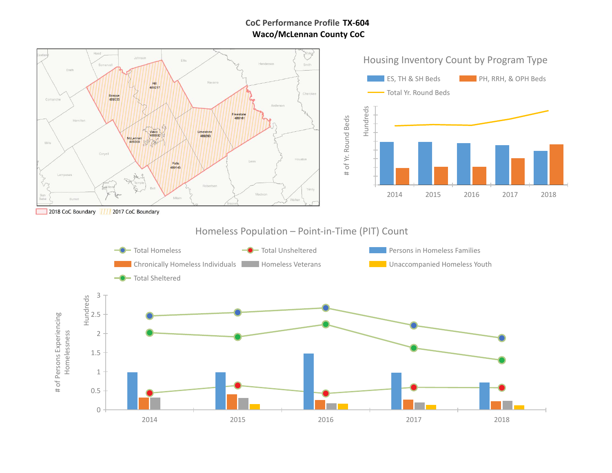## **TX-604 CoC Performance Profile Waco/McLennan County CoC**

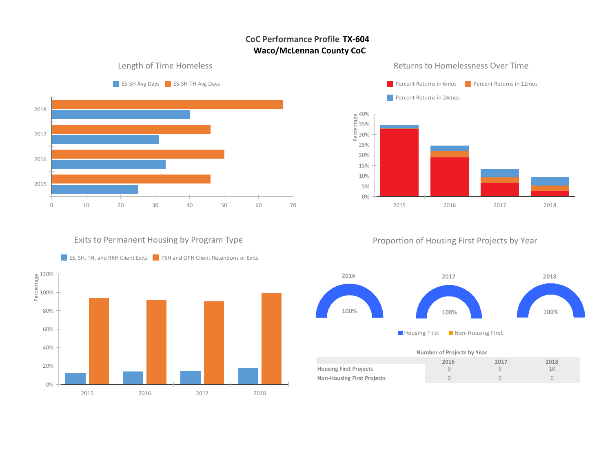# **CoC Performance Profile TX-604 Waco/McLennan County CoC**



**Paragentra Percent Returns in 6mos** Percent Returns in 12mos Percent Returns in 24mos  $\sim$ e<br>
Percentage<br>
<del>E</del><br>
20%<br>
Percentage 35% 30% 25% 20% 15% 10% 5% 0% 2015 2016 2017 2018

Returns to Homelessness Over Time

### Exits to Permanent Housing by Program Type



# Proportion of Housing First Projects by Year



### **Number of Projects by Year**

|                                   | 2016 | 2017 | 2018 |
|-----------------------------------|------|------|------|
| <b>Housing First Projects</b>     |      |      |      |
| <b>Non-Housing First Projects</b> |      |      |      |